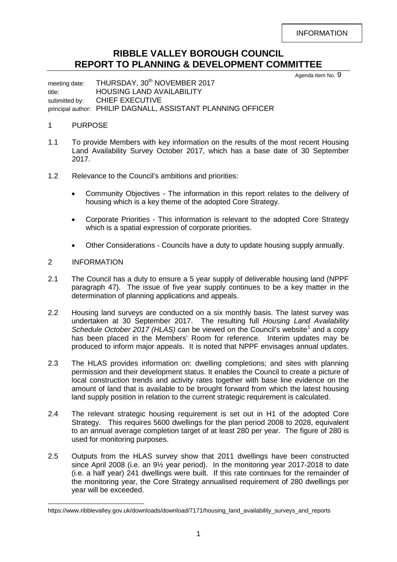INFORMATION

# **RIBBLE VALLEY BOROUGH COUNCIL REPORT TO PLANNING & DEVELOPMENT COMMITTEE**

Agenda Item No. 9

meeting date: THURSDAY, 30<sup>th</sup> NOVEMBER 2017 title: HOUSING LAND AVAILABILITY submitted by: CHIEF EXECUTIVE principal author: PHILIP DAGNALL, ASSISTANT PLANNING OFFICER

## 1 PURPOSE

- 1.1 To provide Members with key information on the results of the most recent Housing Land Availability Survey October 2017, which has a base date of 30 September 2017.
- 1.2 Relevance to the Council's ambitions and priorities:
	- Community Objectives The information in this report relates to the delivery of housing which is a key theme of the adopted Core Strategy.
	- Corporate Priorities This information is relevant to the adopted Core Strategy which is a spatial expression of corporate priorities.
	- Other Considerations Councils have a duty to update housing supply annually.

## 2 INFORMATION

- 2.1 The Council has a duty to ensure a 5 year supply of deliverable housing land (NPPF paragraph 47). The issue of five year supply continues to be a key matter in the determination of planning applications and appeals.
- 2.2 Housing land surveys are conducted on a six monthly basis. The latest survey was undertaken at 30 September 2017. The resulting full *Housing Land Availability Schedule October 20[1](#page-0-0)7 (HLAS)* can be viewed on the Council's website<sup>1</sup> and a copy has been placed in the Members' Room for reference. Interim updates may be produced to inform major appeals. It is noted that NPPF envisages annual updates.
- 2.3 The HLAS provides information on: dwelling completions; and sites with planning permission and their development status. It enables the Council to create a picture of local construction trends and activity rates together with base line evidence on the amount of land that is available to be brought forward from which the latest housing land supply position in relation to the current strategic requirement is calculated.
- 2.4 The relevant strategic housing requirement is set out in H1 of the adopted Core Strategy. This requires 5600 dwellings for the plan period 2008 to 2028, equivalent to an annual average completion target of at least 280 per year. The figure of 280 is used for monitoring purposes.
- 2.5 Outputs from the HLAS survey show that 2011 dwellings have been constructed since April 2008 (i.e. an 9½ year period). In the monitoring year 2017-2018 to date (i.e. a half year) 241 dwellings were built. If this rate continues for the remainder of the monitoring year, the Core Strategy annualised requirement of 280 dwellings per year will be exceeded.

<span id="page-0-0"></span>https://www.ribblevalley.gov.uk/downloads/download/7171/housing\_land\_availability\_surveys\_and\_reports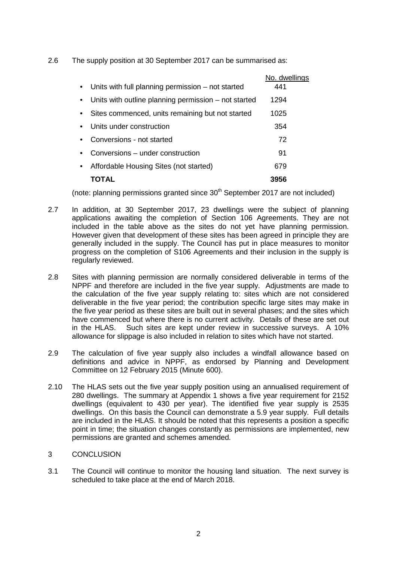2.6 The supply position at 30 September 2017 can be summarised as:

|                                                      | No. dwellings |
|------------------------------------------------------|---------------|
| Units with full planning permission – not started    | 441           |
| Units with outline planning permission – not started | 1294          |
| Sites commenced, units remaining but not started     | 1025          |
| Units under construction                             | 354           |
| Conversions - not started                            | 72            |
| Conversions – under construction                     | 91            |
| Affordable Housing Sites (not started)               | 679           |
| TOTAL                                                | 3956          |

(note: planning permissions granted since  $30<sup>th</sup>$  September 2017 are not included)

- 2.7 In addition, at 30 September 2017, 23 dwellings were the subject of planning applications awaiting the completion of Section 106 Agreements. They are not included in the table above as the sites do not yet have planning permission. However given that development of these sites has been agreed in principle they are generally included in the supply. The Council has put in place measures to monitor progress on the completion of S106 Agreements and their inclusion in the supply is regularly reviewed.
- 2.8 Sites with planning permission are normally considered deliverable in terms of the NPPF and therefore are included in the five year supply. Adjustments are made to the calculation of the five year supply relating to: sites which are not considered deliverable in the five year period; the contribution specific large sites may make in the five year period as these sites are built out in several phases; and the sites which have commenced but where there is no current activity. Details of these are set out in the HLAS. Such sites are kept under review in successive surveys. A 10% allowance for slippage is also included in relation to sites which have not started.
- 2.9 The calculation of five year supply also includes a windfall allowance based on definitions and advice in NPPF, as endorsed by Planning and Development Committee on 12 February 2015 (Minute 600).
- 2.10 The HLAS sets out the five year supply position using an annualised requirement of 280 dwellings. The summary at Appendix 1 shows a five year requirement for 2152 dwellings (equivalent to 430 per year). The identified five year supply is 2535 dwellings. On this basis the Council can demonstrate a 5.9 year supply. Full details are included in the HLAS. It should be noted that this represents a position a specific point in time; the situation changes constantly as permissions are implemented, new permissions are granted and schemes amended.

### 3 CONCLUSION

3.1 The Council will continue to monitor the housing land situation. The next survey is scheduled to take place at the end of March 2018.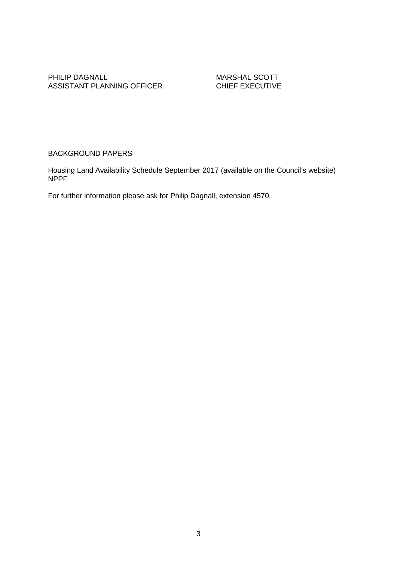#### PHILIP DAGNALL<br>ASSISTANT PLANNING OFFICER<br>CHIEF EXECUTIVE ASSISTANT PLANNING OFFICER

# BACKGROUND PAPERS

Housing Land Availability Schedule September 2017 (available on the Council's website) NPPF

For further information please ask for Philip Dagnall, extension 4570.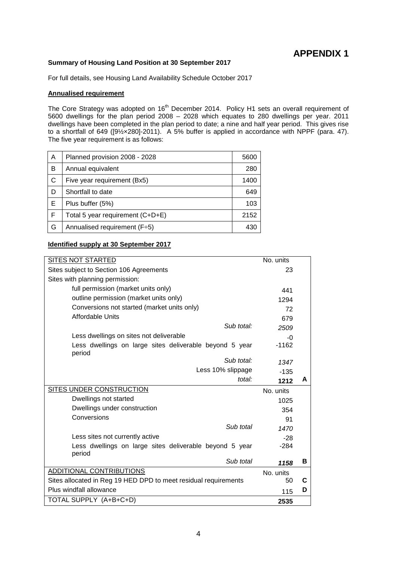### **Summary of Housing Land Position at 30 September 2017**

For full details, see Housing Land Availability Schedule October 2017

#### **Annualised requirement**

The Core Strategy was adopted on 16<sup>th</sup> December 2014. Policy H1 sets an overall requirement of 5600 dwellings for the plan period 2008 – 2028 which equates to 280 dwellings per year. 2011 dwellings have been completed in the plan period to date; a nine and half year period. This gives rise to a shortfall of 649 ([9½×280]-2011). A 5% buffer is applied in accordance with NPPF (para. 47). The five year requirement is as follows:

| A  | Planned provision 2008 - 2028    | 5600 |
|----|----------------------------------|------|
| B  | Annual equivalent                | 280  |
| C  | Five year requirement (Bx5)      | 1400 |
| D  | Shortfall to date                | 649  |
| Е  | Plus buffer (5%)                 | 103  |
| -F | Total 5 year requirement (C+D+E) | 2152 |
| G  | Annualised requirement (F÷5)     | 430  |

#### **Identified supply at 30 September 2017**

| SITES NOT STARTED                                                 | No. units |   |
|-------------------------------------------------------------------|-----------|---|
| Sites subject to Section 106 Agreements                           | 23        |   |
| Sites with planning permission:                                   |           |   |
| full permission (market units only)                               | 441       |   |
| outline permission (market units only)                            | 1294      |   |
| Conversions not started (market units only)                       | 72        |   |
| <b>Affordable Units</b>                                           | 679       |   |
| Sub total:                                                        | 2509      |   |
| Less dwellings on sites not deliverable                           | $-0$      |   |
| Less dwellings on large sites deliverable beyond 5 year<br>period | $-1162$   |   |
| Sub total:                                                        | 1347      |   |
| Less 10% slippage                                                 | $-135$    |   |
| total:                                                            | 1212      | A |
| SITES UNDER CONSTRUCTION                                          | No. units |   |
| Dwellings not started                                             | 1025      |   |
| Dwellings under construction                                      | 354       |   |
| Conversions                                                       | 91        |   |
| Sub total                                                         | 1470      |   |
| Less sites not currently active                                   | $-28$     |   |
| Less dwellings on large sites deliverable beyond 5 year<br>period | $-284$    |   |
| Sub total                                                         | 1158      | В |
| ADDITIONAL CONTRIBUTIONS                                          | No. units |   |
| Sites allocated in Reg 19 HED DPD to meet residual requirements   | 50        | C |
| Plus windfall allowance                                           | 115       | D |
| TOTAL SUPPLY (A+B+C+D)                                            | 2535      |   |